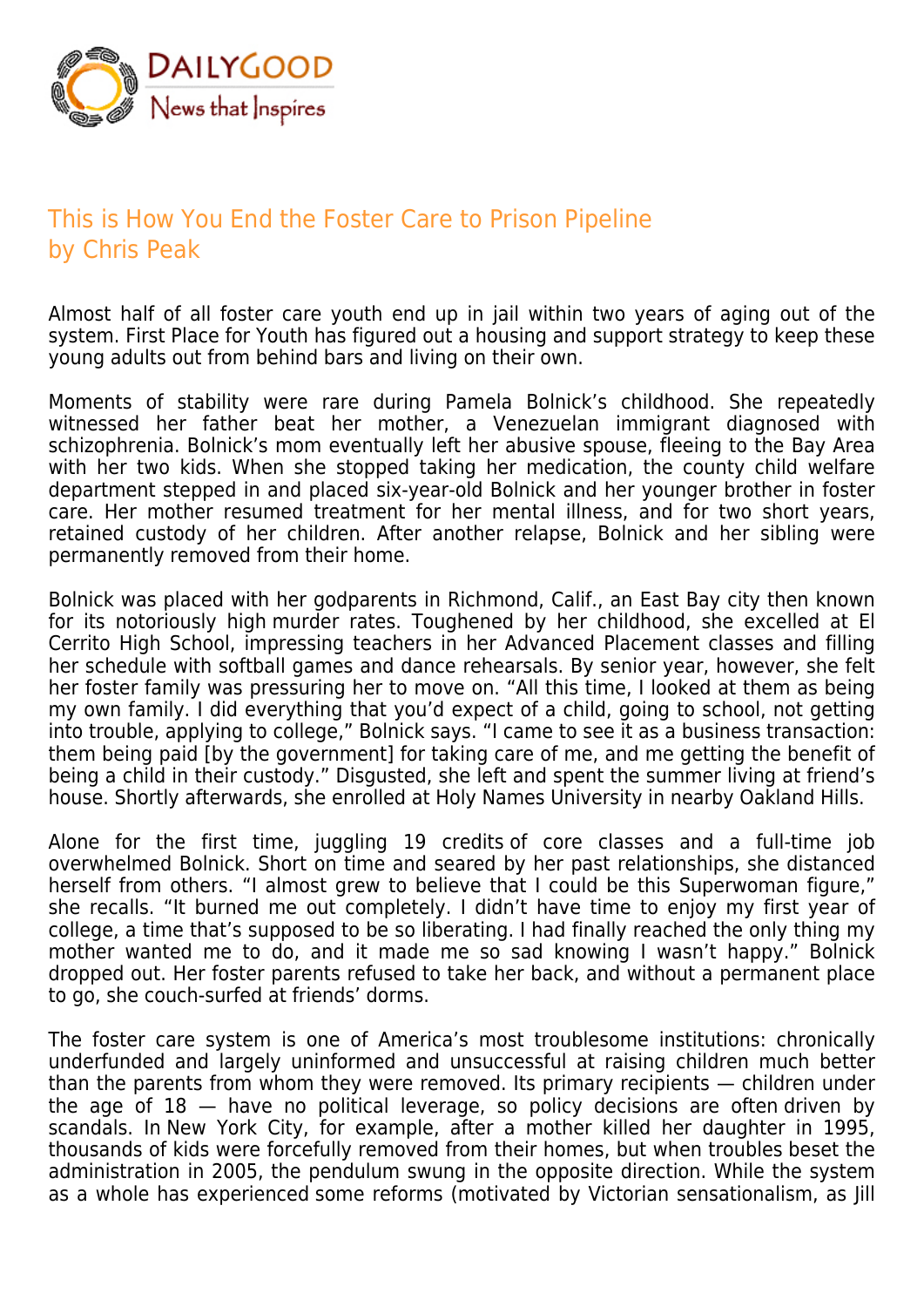

## This is How You End the Foster Care to Prison Pipeline by Chris Peak

Almost half of all foster care youth end up in jail within two years of aging out of the system. First Place for Youth has figured out a housing and support strategy to keep these young adults out from behind bars and living on their own.

Moments of stability were rare during Pamela Bolnick's childhood. She repeatedly witnessed her father beat her mother, a Venezuelan immigrant diagnosed with schizophrenia. Bolnick's mom eventually left her abusive spouse, fleeing to the Bay Area with her two kids. When she stopped taking her medication, the county child welfare department stepped in and placed six-year-old Bolnick and her younger brother in foster care. Her mother resumed treatment for her mental illness, and for two short years, retained custody of her children. After another relapse, Bolnick and her sibling were permanently removed from their home.

Bolnick was placed with her godparents in Richmond, Calif., an East Bay city then known for its notoriously high murder rates. Toughened by her childhood, she excelled at El Cerrito High School, impressing teachers in her Advanced Placement classes and filling her schedule with softball games and dance rehearsals. By senior year, however, she felt her foster family was pressuring her to move on. "All this time, I looked at them as being my own family. I did everything that you'd expect of a child, going to school, not getting into trouble, applying to college," Bolnick says. "I came to see it as a business transaction: them being paid [by the government] for taking care of me, and me getting the benefit of being a child in their custody." Disgusted, she left and spent the summer living at friend's house. Shortly afterwards, she enrolled at Holy Names University in nearby Oakland Hills.

Alone for the first time, juggling 19 credits of core classes and a full-time job overwhelmed Bolnick. Short on time and seared by her past relationships, she distanced herself from others. "I almost grew to believe that I could be this Superwoman figure," she recalls. "It burned me out completely. I didn't have time to enjoy my first year of college, a time that's supposed to be so liberating. I had finally reached the only thing my mother wanted me to do, and it made me so sad knowing I wasn't happy." Bolnick dropped out. Her foster parents refused to take her back, and without a permanent place to go, she couch-surfed at friends' dorms.

The foster care system is one of America's most troublesome institutions: chronically underfunded and largely uninformed and unsuccessful at raising children much better than the parents from whom they were removed. Its primary recipients — children under the age of  $18 -$  have no political leverage, so policy decisions are often driven by scandals. In New York City, for example, after a mother killed her daughter in 1995, thousands of kids were forcefully removed from their homes, but when troubles beset the administration in 2005, the pendulum swung in the opposite direction. While the system as a whole has experienced some reforms (motivated by Victorian sensationalism, as Jill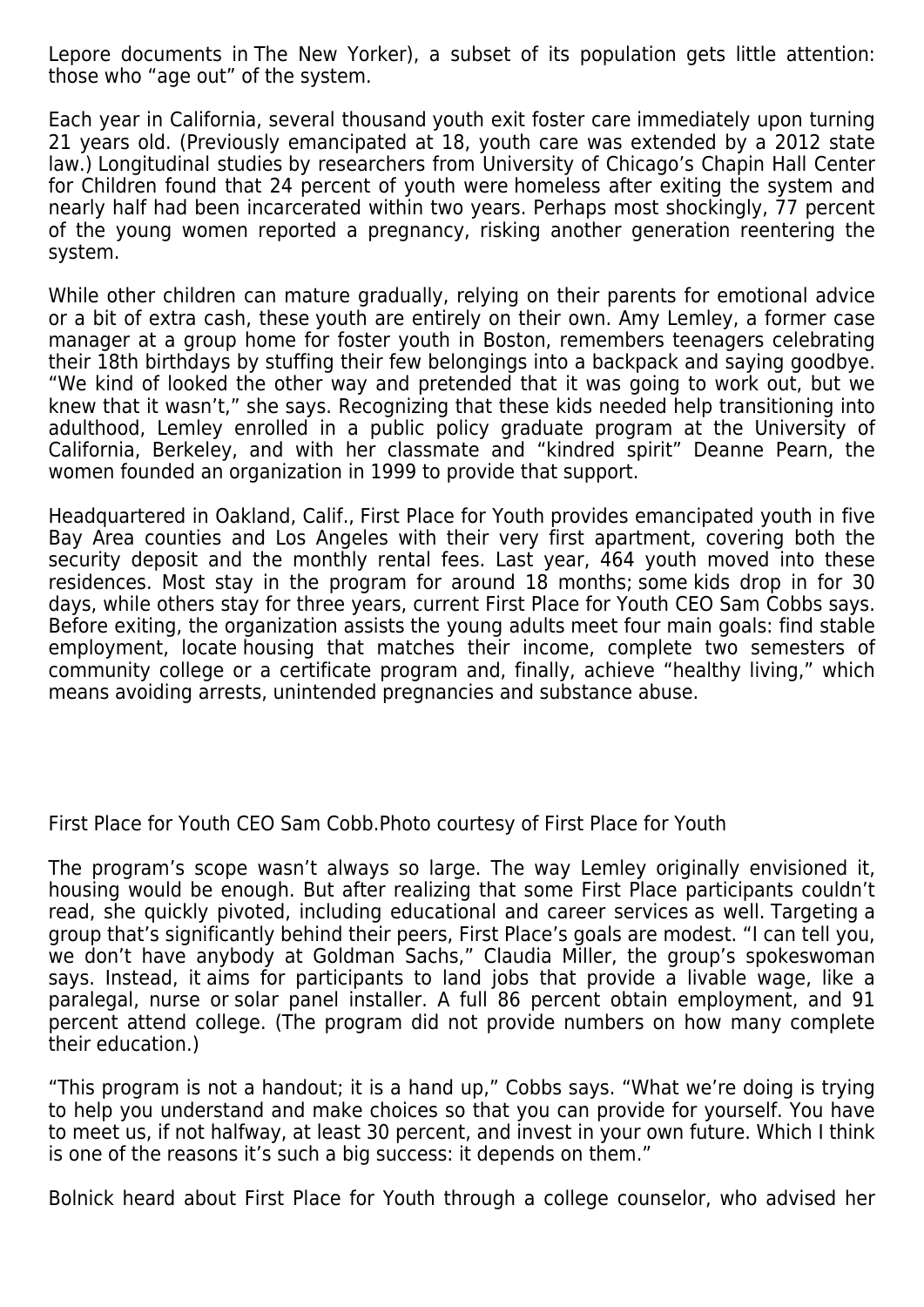Lepore documents in The New Yorker), a subset of its population gets little attention: those who "age out" of the system.

Each year in California, several thousand youth exit foster care immediately upon turning 21 years old. (Previously emancipated at 18, youth care was extended by a 2012 state law.) Longitudinal studies by researchers from University of Chicago's Chapin Hall Center for Children found that 24 percent of youth were homeless after exiting the system and nearly half had been incarcerated within two years. Perhaps most shockingly, 77 percent of the young women reported a pregnancy, risking another generation reentering the system.

While other children can mature gradually, relying on their parents for emotional advice or a bit of extra cash, these youth are entirely on their own. Amy Lemley, a former case manager at a group home for foster youth in Boston, remembers teenagers celebrating their 18th birthdays by stuffing their few belongings into a backpack and saying goodbye. "We kind of looked the other way and pretended that it was going to work out, but we knew that it wasn't," she says. Recognizing that these kids needed help transitioning into adulthood, Lemley enrolled in a public policy graduate program at the University of California, Berkeley, and with her classmate and "kindred spirit" Deanne Pearn, the women founded an organization in 1999 to provide that support.

Headquartered in Oakland, Calif., First Place for Youth provides emancipated youth in five Bay Area counties and Los Angeles with their very first apartment, covering both the security deposit and the monthly rental fees. Last year, 464 youth moved into these residences. Most stay in the program for around 18 months; some kids drop in for 30 days, while others stay for three years, current First Place for Youth CEO Sam Cobbs says. Before exiting, the organization assists the young adults meet four main goals: find stable employment, locate housing that matches their income, complete two semesters of community college or a certificate program and, finally, achieve "healthy living," which means avoiding arrests, unintended pregnancies and substance abuse.

First Place for Youth CEO Sam Cobb.Photo courtesy of First Place for Youth

The program's scope wasn't always so large. The way Lemley originally envisioned it, housing would be enough. But after realizing that some First Place participants couldn't read, she quickly pivoted, including educational and career services as well. Targeting a group that's significantly behind their peers, First Place's goals are modest. "I can tell you, we don't have anybody at Goldman Sachs," Claudia Miller, the group's spokeswoman says. Instead, it aims for participants to land jobs that provide a livable wage, like a paralegal, nurse or solar panel installer. A full 86 percent obtain employment, and 91 percent attend college. (The program did not provide numbers on how many complete their education.)

"This program is not a handout; it is a hand up," Cobbs says. "What we're doing is trying to help you understand and make choices so that you can provide for yourself. You have to meet us, if not halfway, at least 30 percent, and invest in your own future. Which I think is one of the reasons it's such a big success: it depends on them."

Bolnick heard about First Place for Youth through a college counselor, who advised her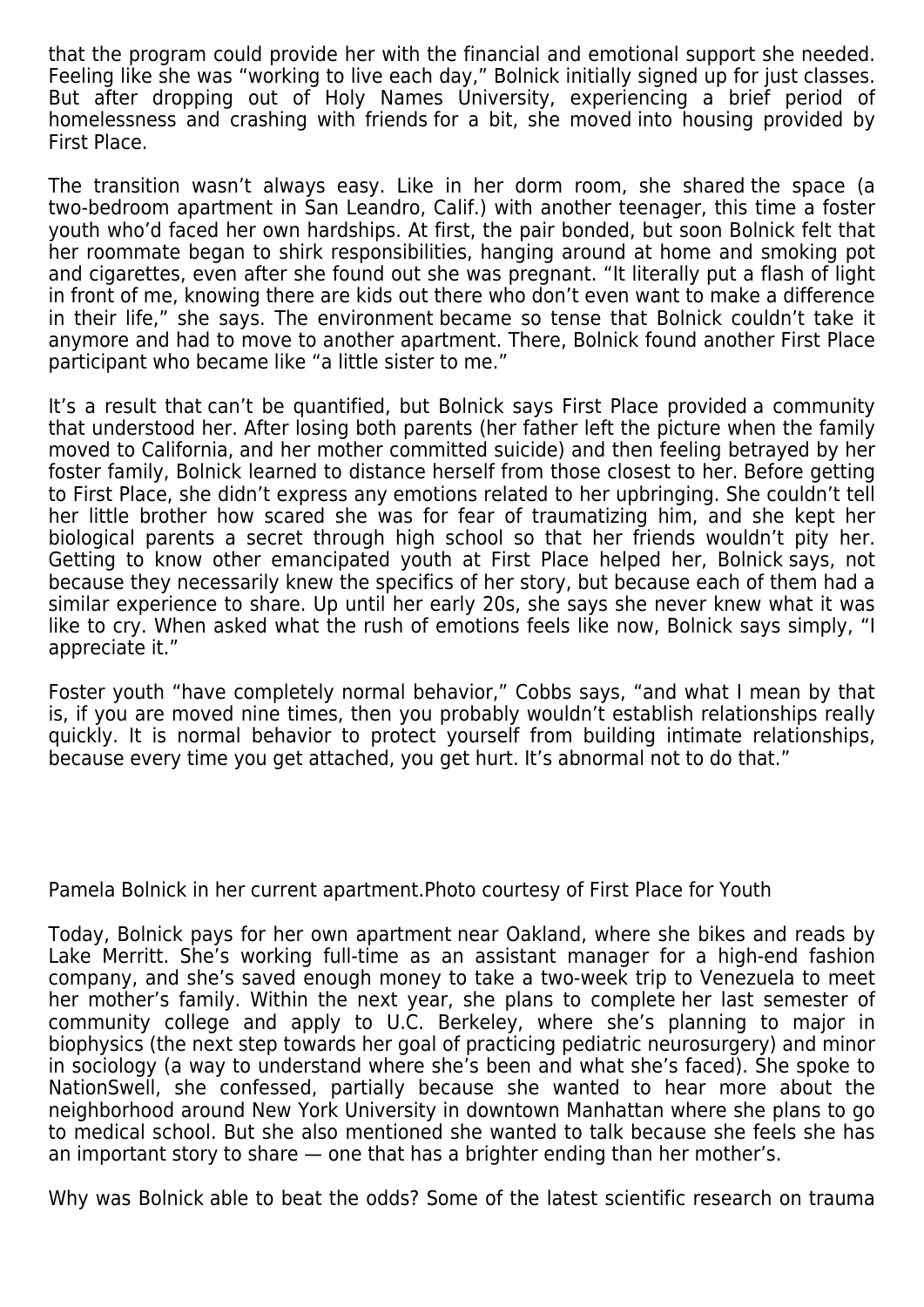that the program could provide her with the financial and emotional support she needed. Feeling like she was "working to live each day," Bolnick initially signed up for just classes. But after dropping out of Holy Names University, experiencing a brief period of homelessness and crashing with friends for a bit, she moved into housing provided by First Place.

The transition wasn't always easy. Like in her dorm room, she shared the space (a two-bedroom apartment in San Leandro, Calif.) with another teenager, this time a foster youth who'd faced her own hardships. At first, the pair bonded, but soon Bolnick felt that her roommate began to shirk responsibilities, hanging around at home and smoking pot and cigarettes, even after she found out she was pregnant. "It literally put a flash of light in front of me, knowing there are kids out there who don't even want to make a difference in their life," she says. The environment became so tense that Bolnick couldn't take it anymore and had to move to another apartment. There, Bolnick found another First Place participant who became like "a little sister to me."

It's a result that can't be quantified, but Bolnick says First Place provided a community that understood her. After losing both parents (her father left the picture when the family moved to California, and her mother committed suicide) and then feeling betrayed by her foster family, Bolnick learned to distance herself from those closest to her. Before getting to First Place, she didn't express any emotions related to her upbringing. She couldn't tell her little brother how scared she was for fear of traumatizing him, and she kept her biological parents a secret through high school so that her friends wouldn't pity her. Getting to know other emancipated youth at First Place helped her, Bolnick says, not because they necessarily knew the specifics of her story, but because each of them had a similar experience to share. Up until her early 20s, she says she never knew what it was like to cry. When asked what the rush of emotions feels like now, Bolnick says simply, "I appreciate it."

Foster youth "have completely normal behavior," Cobbs says, "and what I mean by that is, if you are moved nine times, then you probably wouldn't establish relationships really quickly. It is normal behavior to protect yourself from building intimate relationships, because every time you get attached, you get hurt. It's abnormal not to do that."

Pamela Bolnick in her current apartment.Photo courtesy of First Place for Youth

Today, Bolnick pays for her own apartment near Oakland, where she bikes and reads by Lake Merritt. She's working full-time as an assistant manager for a high-end fashion company, and she's saved enough money to take a two-week trip to Venezuela to meet her mother's family. Within the next year, she plans to complete her last semester of community college and apply to U.C. Berkeley, where she's planning to major in biophysics (the next step towards her goal of practicing pediatric neurosurgery) and minor in sociology (a way to understand where she's been and what she's faced). She spoke to NationSwell, she confessed, partially because she wanted to hear more about the neighborhood around New York University in downtown Manhattan where she plans to go to medical school. But she also mentioned she wanted to talk because she feels she has an important story to share — one that has a brighter ending than her mother's.

Why was Bolnick able to beat the odds? Some of the latest scientific research on trauma